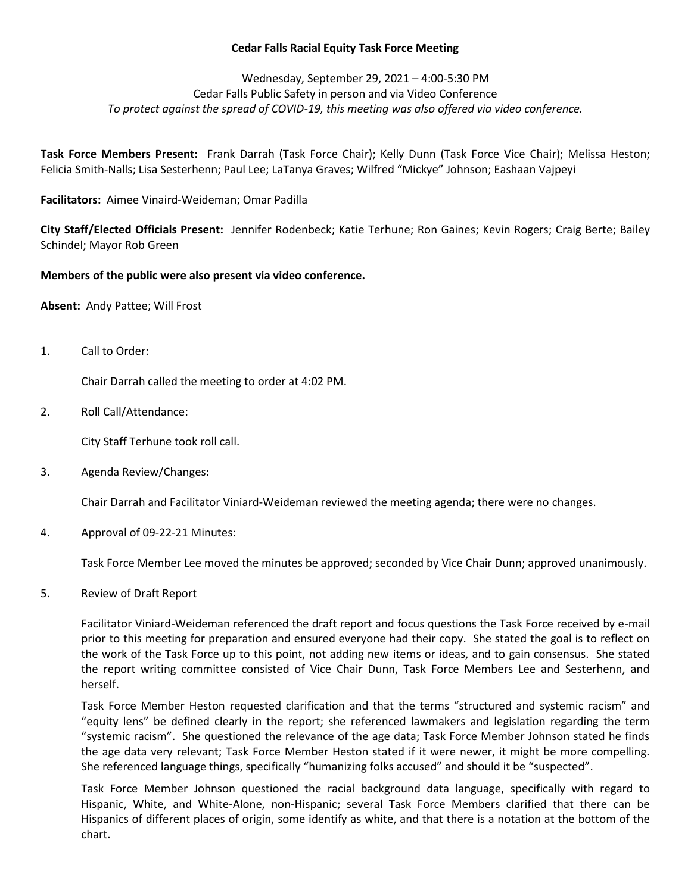## **Cedar Falls Racial Equity Task Force Meeting**

# Wednesday, September 29, 2021 – 4:00-5:30 PM Cedar Falls Public Safety in person and via Video Conference *To protect against the spread of COVID-19, this meeting was also offered via video conference.*

**Task Force Members Present:** Frank Darrah (Task Force Chair); Kelly Dunn (Task Force Vice Chair); Melissa Heston; Felicia Smith-Nalls; Lisa Sesterhenn; Paul Lee; LaTanya Graves; Wilfred "Mickye" Johnson; Eashaan Vajpeyi

**Facilitators:** Aimee Vinaird-Weideman; Omar Padilla

**City Staff/Elected Officials Present:** Jennifer Rodenbeck; Katie Terhune; Ron Gaines; Kevin Rogers; Craig Berte; Bailey Schindel; Mayor Rob Green

### **Members of the public were also present via video conference.**

**Absent:** Andy Pattee; Will Frost

1. Call to Order:

Chair Darrah called the meeting to order at 4:02 PM.

2. Roll Call/Attendance:

City Staff Terhune took roll call.

3. Agenda Review/Changes:

Chair Darrah and Facilitator Viniard-Weideman reviewed the meeting agenda; there were no changes.

4. Approval of 09-22-21 Minutes:

Task Force Member Lee moved the minutes be approved; seconded by Vice Chair Dunn; approved unanimously.

5. Review of Draft Report

Facilitator Viniard-Weideman referenced the draft report and focus questions the Task Force received by e-mail prior to this meeting for preparation and ensured everyone had their copy. She stated the goal is to reflect on the work of the Task Force up to this point, not adding new items or ideas, and to gain consensus. She stated the report writing committee consisted of Vice Chair Dunn, Task Force Members Lee and Sesterhenn, and herself.

Task Force Member Heston requested clarification and that the terms "structured and systemic racism" and "equity lens" be defined clearly in the report; she referenced lawmakers and legislation regarding the term "systemic racism". She questioned the relevance of the age data; Task Force Member Johnson stated he finds the age data very relevant; Task Force Member Heston stated if it were newer, it might be more compelling. She referenced language things, specifically "humanizing folks accused" and should it be "suspected".

Task Force Member Johnson questioned the racial background data language, specifically with regard to Hispanic, White, and White-Alone, non-Hispanic; several Task Force Members clarified that there can be Hispanics of different places of origin, some identify as white, and that there is a notation at the bottom of the chart.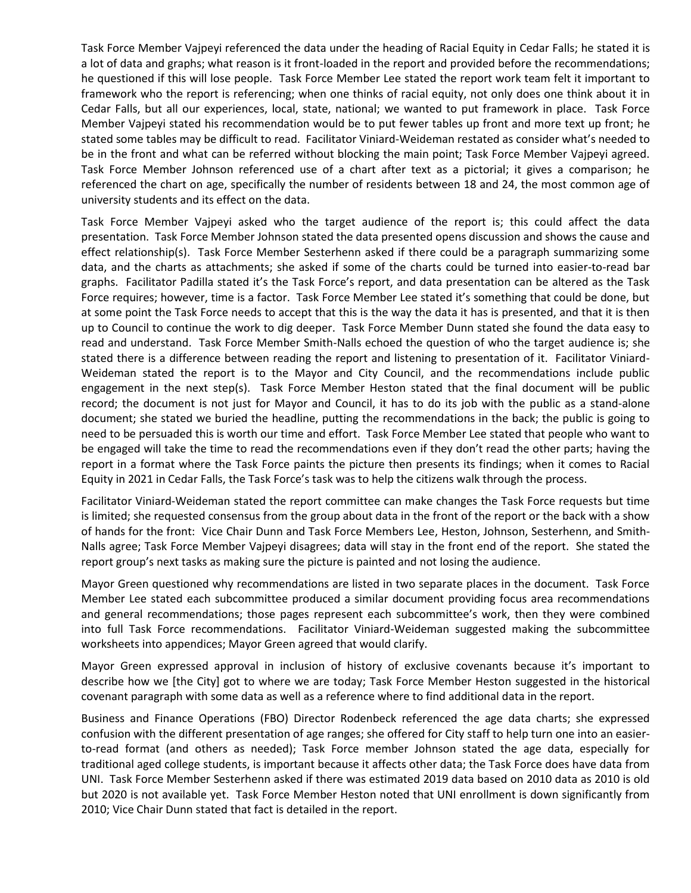Task Force Member Vajpeyi referenced the data under the heading of Racial Equity in Cedar Falls; he stated it is a lot of data and graphs; what reason is it front-loaded in the report and provided before the recommendations; he questioned if this will lose people. Task Force Member Lee stated the report work team felt it important to framework who the report is referencing; when one thinks of racial equity, not only does one think about it in Cedar Falls, but all our experiences, local, state, national; we wanted to put framework in place. Task Force Member Vajpeyi stated his recommendation would be to put fewer tables up front and more text up front; he stated some tables may be difficult to read. Facilitator Viniard-Weideman restated as consider what's needed to be in the front and what can be referred without blocking the main point; Task Force Member Vajpeyi agreed. Task Force Member Johnson referenced use of a chart after text as a pictorial; it gives a comparison; he referenced the chart on age, specifically the number of residents between 18 and 24, the most common age of university students and its effect on the data.

Task Force Member Vajpeyi asked who the target audience of the report is; this could affect the data presentation. Task Force Member Johnson stated the data presented opens discussion and shows the cause and effect relationship(s). Task Force Member Sesterhenn asked if there could be a paragraph summarizing some data, and the charts as attachments; she asked if some of the charts could be turned into easier-to-read bar graphs. Facilitator Padilla stated it's the Task Force's report, and data presentation can be altered as the Task Force requires; however, time is a factor. Task Force Member Lee stated it's something that could be done, but at some point the Task Force needs to accept that this is the way the data it has is presented, and that it is then up to Council to continue the work to dig deeper. Task Force Member Dunn stated she found the data easy to read and understand. Task Force Member Smith-Nalls echoed the question of who the target audience is; she stated there is a difference between reading the report and listening to presentation of it. Facilitator Viniard-Weideman stated the report is to the Mayor and City Council, and the recommendations include public engagement in the next step(s). Task Force Member Heston stated that the final document will be public record; the document is not just for Mayor and Council, it has to do its job with the public as a stand-alone document; she stated we buried the headline, putting the recommendations in the back; the public is going to need to be persuaded this is worth our time and effort. Task Force Member Lee stated that people who want to be engaged will take the time to read the recommendations even if they don't read the other parts; having the report in a format where the Task Force paints the picture then presents its findings; when it comes to Racial Equity in 2021 in Cedar Falls, the Task Force's task was to help the citizens walk through the process.

Facilitator Viniard-Weideman stated the report committee can make changes the Task Force requests but time is limited; she requested consensus from the group about data in the front of the report or the back with a show of hands for the front: Vice Chair Dunn and Task Force Members Lee, Heston, Johnson, Sesterhenn, and Smith-Nalls agree; Task Force Member Vajpeyi disagrees; data will stay in the front end of the report. She stated the report group's next tasks as making sure the picture is painted and not losing the audience.

Mayor Green questioned why recommendations are listed in two separate places in the document. Task Force Member Lee stated each subcommittee produced a similar document providing focus area recommendations and general recommendations; those pages represent each subcommittee's work, then they were combined into full Task Force recommendations. Facilitator Viniard-Weideman suggested making the subcommittee worksheets into appendices; Mayor Green agreed that would clarify.

Mayor Green expressed approval in inclusion of history of exclusive covenants because it's important to describe how we [the City] got to where we are today; Task Force Member Heston suggested in the historical covenant paragraph with some data as well as a reference where to find additional data in the report.

Business and Finance Operations (FBO) Director Rodenbeck referenced the age data charts; she expressed confusion with the different presentation of age ranges; she offered for City staff to help turn one into an easierto-read format (and others as needed); Task Force member Johnson stated the age data, especially for traditional aged college students, is important because it affects other data; the Task Force does have data from UNI. Task Force Member Sesterhenn asked if there was estimated 2019 data based on 2010 data as 2010 is old but 2020 is not available yet. Task Force Member Heston noted that UNI enrollment is down significantly from 2010; Vice Chair Dunn stated that fact is detailed in the report.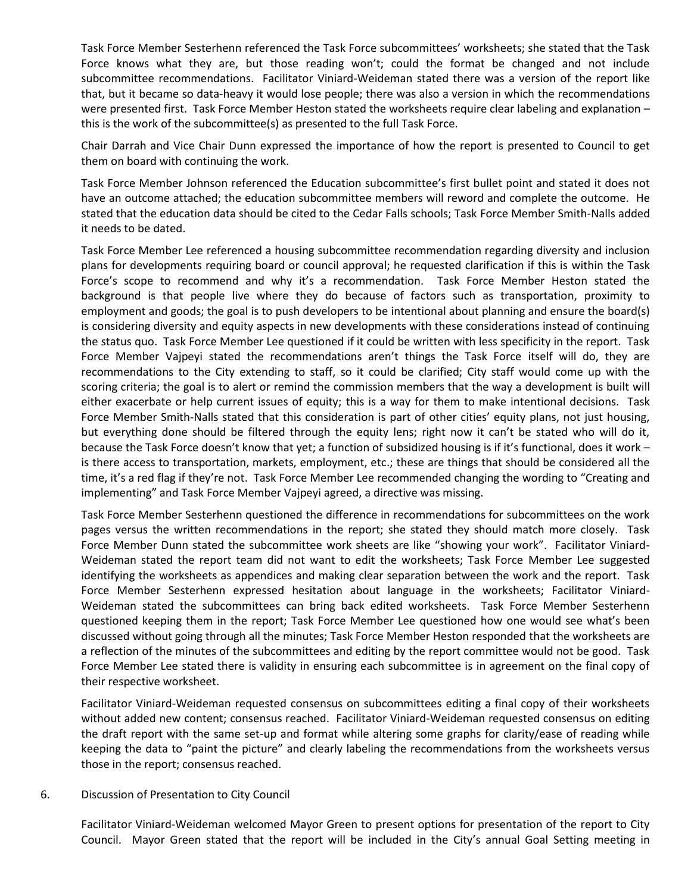Task Force Member Sesterhenn referenced the Task Force subcommittees' worksheets; she stated that the Task Force knows what they are, but those reading won't; could the format be changed and not include subcommittee recommendations. Facilitator Viniard-Weideman stated there was a version of the report like that, but it became so data-heavy it would lose people; there was also a version in which the recommendations were presented first. Task Force Member Heston stated the worksheets require clear labeling and explanation – this is the work of the subcommittee(s) as presented to the full Task Force.

Chair Darrah and Vice Chair Dunn expressed the importance of how the report is presented to Council to get them on board with continuing the work.

Task Force Member Johnson referenced the Education subcommittee's first bullet point and stated it does not have an outcome attached; the education subcommittee members will reword and complete the outcome. He stated that the education data should be cited to the Cedar Falls schools; Task Force Member Smith-Nalls added it needs to be dated.

Task Force Member Lee referenced a housing subcommittee recommendation regarding diversity and inclusion plans for developments requiring board or council approval; he requested clarification if this is within the Task Force's scope to recommend and why it's a recommendation. Task Force Member Heston stated the background is that people live where they do because of factors such as transportation, proximity to employment and goods; the goal is to push developers to be intentional about planning and ensure the board(s) is considering diversity and equity aspects in new developments with these considerations instead of continuing the status quo. Task Force Member Lee questioned if it could be written with less specificity in the report. Task Force Member Vajpeyi stated the recommendations aren't things the Task Force itself will do, they are recommendations to the City extending to staff, so it could be clarified; City staff would come up with the scoring criteria; the goal is to alert or remind the commission members that the way a development is built will either exacerbate or help current issues of equity; this is a way for them to make intentional decisions. Task Force Member Smith-Nalls stated that this consideration is part of other cities' equity plans, not just housing, but everything done should be filtered through the equity lens; right now it can't be stated who will do it, because the Task Force doesn't know that yet; a function of subsidized housing is if it's functional, does it work – is there access to transportation, markets, employment, etc.; these are things that should be considered all the time, it's a red flag if they're not. Task Force Member Lee recommended changing the wording to "Creating and implementing" and Task Force Member Vajpeyi agreed, a directive was missing.

Task Force Member Sesterhenn questioned the difference in recommendations for subcommittees on the work pages versus the written recommendations in the report; she stated they should match more closely. Task Force Member Dunn stated the subcommittee work sheets are like "showing your work". Facilitator Viniard-Weideman stated the report team did not want to edit the worksheets; Task Force Member Lee suggested identifying the worksheets as appendices and making clear separation between the work and the report. Task Force Member Sesterhenn expressed hesitation about language in the worksheets; Facilitator Viniard-Weideman stated the subcommittees can bring back edited worksheets. Task Force Member Sesterhenn questioned keeping them in the report; Task Force Member Lee questioned how one would see what's been discussed without going through all the minutes; Task Force Member Heston responded that the worksheets are a reflection of the minutes of the subcommittees and editing by the report committee would not be good. Task Force Member Lee stated there is validity in ensuring each subcommittee is in agreement on the final copy of their respective worksheet.

Facilitator Viniard-Weideman requested consensus on subcommittees editing a final copy of their worksheets without added new content; consensus reached. Facilitator Viniard-Weideman requested consensus on editing the draft report with the same set-up and format while altering some graphs for clarity/ease of reading while keeping the data to "paint the picture" and clearly labeling the recommendations from the worksheets versus those in the report; consensus reached.

### 6. Discussion of Presentation to City Council

Facilitator Viniard-Weideman welcomed Mayor Green to present options for presentation of the report to City Council. Mayor Green stated that the report will be included in the City's annual Goal Setting meeting in